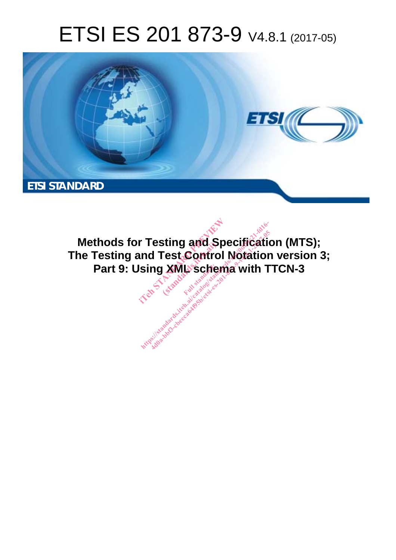# ETSI ES 201 873-9 V4.8.1 (2017-05)



**Methods for Testing and Specification (MTS); The Testing and Test Control Notation version 3;**  Part 9: Using XML schema with TTCN-3 **r Testing and Spectrum Test Control No.**<br>Ising XML schema<sup>Ter</sup><br>Ising XML schemaTer **Sting and Space**<br>Fest Contro<br>Liga<sup>dard</sup>: ht ps:/ standards.iteh.ai/catalog/standards/sist/0df5fc21-fd16- [4d0a-bbf3-cbeeca64f95b/etsi-es-201-873-9-v4.8.1-2017-05](�b�t-ԣK8�����#~C���u�}�k>w��f���Hх�,�HC��l���hR�Q�@Pm�Ի�{7(ȡi����Cn۲�7��"��4J/���7���]��	9�G�#�����)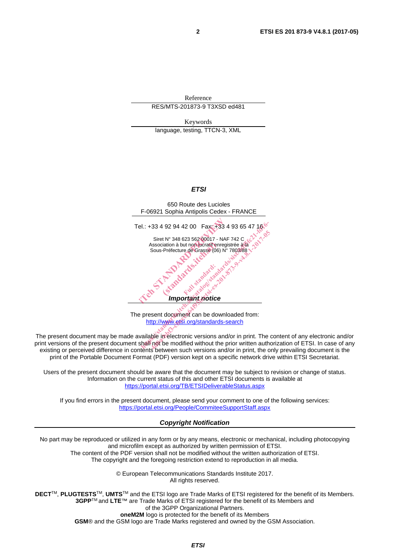Reference RES/MTS-201873-9 T3XSD ed481

Keywords language, testing, TTCN-3, XML

#### *ETSI*

650 Route des Lucioles F-06921 Sophia Antipolis Cedex - FRANCE Tel.: +33 4 92 94 42 00 Fax: +33 4 93 65 47 16 Siret N° 348 623 562 00017 - NAF 742 C Association à but non lucratif enregistrée à la Sous-Préfecture de Grasse (06) N° 7803/88 *Important notice*  el.: +33 4 92 94 42 00 Fax: +33 4 93<br>
Siret N° 348 623 562 00017 - NAF 742<br>
Association à but non lucratif enregistrée<br>
Sous-Préfecture de Grasse (06) N° 7803<br>
Sus-Préfecture de Grasse (06) N° 7803<br>
Comportant de Crasse (0 iation à but non-lucratif enriques Jakandardsläss H.: +33 4 92 94 42 00 Fax: +33 4 93 65 47 18

The present document can be downloaded from: http://www.etsi.org/standards-search

The present document may be made available in electronic versions and/or in print. The content of any electronic and/or print versions of the present document shall not be modified without the prior written authorization of ETSI. In case of any existing or perceived difference in contents between such versions and/or in print, the only prevailing document is the print of the Portable Document Format (PDF) version kept on a specific network drive within ETSI Secretariat.

Users of the present document should be aware that the document may be subject to revision or change of status. Information on the current status of this and other ETSI documents is available at https://portal.etsi.org/TB/ETSIDeliverableStatus.aspx

If you find errors in the present document, please send your comment to one of the following services: https://portal.etsi.org/People/CommiteeSupportStaff.aspx

#### *Copyright Notification*

No part may be reproduced or utilized in any form or by any means, electronic or mechanical, including photocopying and microfilm except as authorized by written permission of ETSI. The content of the PDF version shall not be modified without the written authorization of ETSI.

The copyright and the foregoing restriction extend to reproduction in all media.

© European Telecommunications Standards Institute 2017. All rights reserved.

**DECT**TM, **PLUGTESTS**TM, **UMTS**TM and the ETSI logo are Trade Marks of ETSI registered for the benefit of its Members. **3GPP**TM and **LTE**™ are Trade Marks of ETSI registered for the benefit of its Members and of the 3GPP Organizational Partners.

**oneM2M** logo is protected for the benefit of its Members

**GSM**® and the GSM logo are Trade Marks registered and owned by the GSM Association.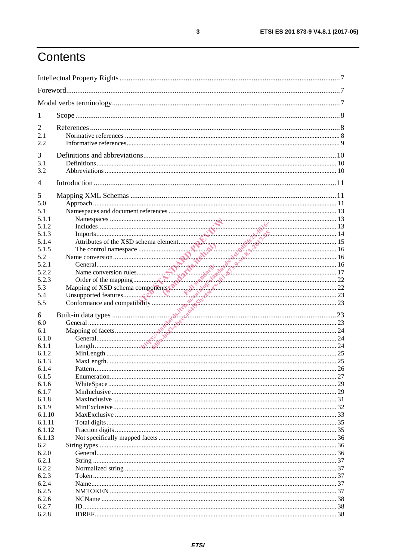# Contents

| 1                                 |  |  |
|-----------------------------------|--|--|
| 2<br>2.1<br>2.2                   |  |  |
| 3<br>3.1<br>3.2                   |  |  |
| 4                                 |  |  |
| 5<br>5.0<br>5.1<br>5.1.1<br>5.1.2 |  |  |
| 5.1.3<br>5.1.4                    |  |  |
| 5.1.5                             |  |  |
| 5.2                               |  |  |
| 5.2.1<br>5.2.2                    |  |  |
| 5.2.3                             |  |  |
| 5.3                               |  |  |
| 5.4                               |  |  |
| 5.5                               |  |  |
| 6                                 |  |  |
| 6.0                               |  |  |
| 6.1                               |  |  |
| 6.1.0                             |  |  |
| 6.1.1                             |  |  |
| 6.1.2                             |  |  |
| 6.1.3                             |  |  |
| 6.1.4                             |  |  |
| 6.1.5                             |  |  |
| 6.1.6<br>6.1.7                    |  |  |
| 6.1.8                             |  |  |
| 6.1.9                             |  |  |
| 6.1.10                            |  |  |
| 6.1.11                            |  |  |
| 6.1.12                            |  |  |
| 6.1.13                            |  |  |
| 6.2                               |  |  |
| 6.2.0                             |  |  |
| 6.2.1<br>6.2.2                    |  |  |
| 6.2.3                             |  |  |
| 6.2.4                             |  |  |
| 6.2.5                             |  |  |
| 6.2.6                             |  |  |
| 6.2.7                             |  |  |
| 6.2.8                             |  |  |

 $\mathbf{3}$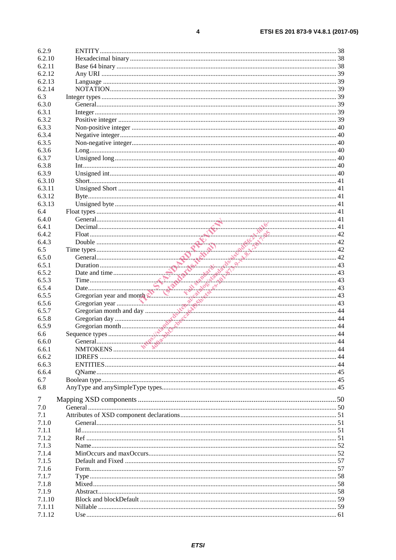| 6.2.9            |  |
|------------------|--|
| 6.2.10           |  |
| 6.2.11           |  |
| 6.2.12           |  |
| 6.2.13           |  |
| 6.2.14           |  |
| 6.3              |  |
| 6.3.0            |  |
| 6.3.1            |  |
| 6.3.2            |  |
| 6.3.3            |  |
| 6.3.4            |  |
| 6.3.5            |  |
| 6.3.6            |  |
| 6.3.7            |  |
| 6.3.8            |  |
| 6.3.9            |  |
| 6.3.10           |  |
| 6.3.11           |  |
| 6.3.12           |  |
| 6.3.13           |  |
| 6.4              |  |
|                  |  |
| 6.4.0<br>6.4.1   |  |
|                  |  |
| 6.4.2            |  |
| 6.4.3            |  |
| 6.5              |  |
| 6.5.0            |  |
| 6.5.1            |  |
| 6.5.2            |  |
| 6.5.3            |  |
|                  |  |
| 6.5.4            |  |
| 6.5.5            |  |
| 6.5.6            |  |
| 6.5.7            |  |
| 6.5.8            |  |
| 6.5.9            |  |
| 6.6              |  |
| 6.6.0            |  |
| 6.6.1            |  |
| 6.6.2            |  |
| 6.6.3            |  |
| 6.6.4            |  |
| 6.7              |  |
| 6.8              |  |
|                  |  |
| $\tau$           |  |
| 7.0              |  |
| 7.1              |  |
| 7.1.0            |  |
| 7.1.1            |  |
| 7.1.2            |  |
| 7.1.3            |  |
| 7.1.4            |  |
| 7.1.5            |  |
| 7.1.6            |  |
| 7.1.7            |  |
| 7.1.8            |  |
| 7.1.9            |  |
| 7.1.10           |  |
| 7.1.11<br>7.1.12 |  |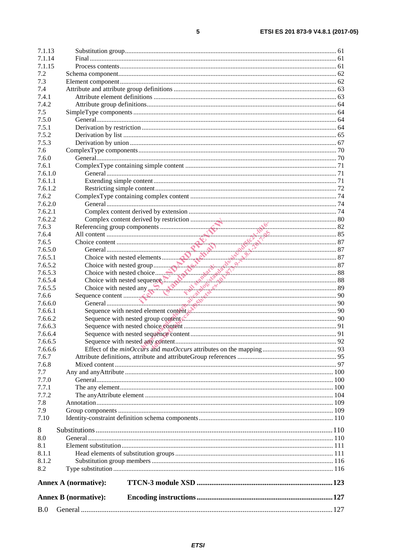| B.0              |                             |  |
|------------------|-----------------------------|--|
|                  | <b>Annex B</b> (normative): |  |
|                  | <b>Annex A (normative):</b> |  |
|                  |                             |  |
| 8.2              |                             |  |
| 8.1.2            |                             |  |
| 8.1.1            |                             |  |
| 8.1              |                             |  |
| 8.0              |                             |  |
| 8                |                             |  |
| 7.10             |                             |  |
| 7.9              |                             |  |
| 7.8              |                             |  |
| 7.7.2            |                             |  |
| 7.7.1            |                             |  |
| 7.7.0            |                             |  |
| 7.7              |                             |  |
| 7.6.8            |                             |  |
| 7.6.7            |                             |  |
| 7.6.6.6          |                             |  |
|                  |                             |  |
| 7.6.6.5          |                             |  |
| 7.6.6.4          |                             |  |
| 7.6.6.3          |                             |  |
| 7.6.6.2          |                             |  |
| 7.6.6.1          |                             |  |
| 7.6.6.0          |                             |  |
| 7.6.6            |                             |  |
| 7.6.5.5          |                             |  |
| 7.6.5.4          |                             |  |
| 7.6.5.3          |                             |  |
| 7.6.5.2          |                             |  |
| 7.6.5.1          |                             |  |
| 7.6.5.0          |                             |  |
| 7.6.5            |                             |  |
| 7.6.4            |                             |  |
| 7.6.3            |                             |  |
| 7.6.2.2          |                             |  |
| 7.6.2.1          |                             |  |
| 7.6.2.0          |                             |  |
| 7.6.2            |                             |  |
| 7.6.1.2          |                             |  |
|                  |                             |  |
| 7.6.1.1          |                             |  |
| 7.6.1<br>7.6.1.0 |                             |  |
| 7.6.0            |                             |  |
| 7.6              |                             |  |
| 7.5.3            |                             |  |
| 7.5.2            |                             |  |
| 7.5.1            |                             |  |
| 7.5.0            |                             |  |
| 7.5              |                             |  |
| 7.4.2            |                             |  |
| 7.4.1            |                             |  |
| 7.4              |                             |  |
| 7.3              |                             |  |
| 7.2              |                             |  |
| 7.1.15           |                             |  |
| 7.1.14           |                             |  |
| 7.1.13           |                             |  |
|                  |                             |  |

 $\overline{\mathbf{5}}$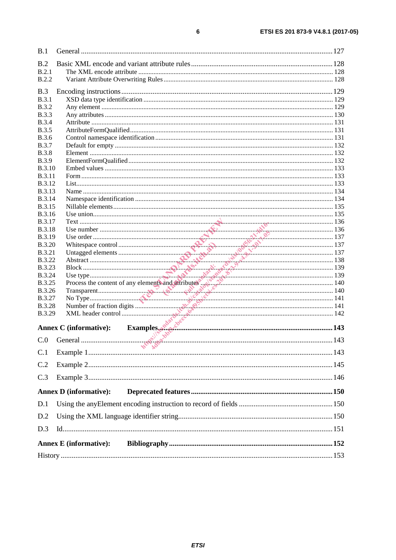| B.1           |                                                                       |  |
|---------------|-----------------------------------------------------------------------|--|
| B.2           |                                                                       |  |
| B.2.1         |                                                                       |  |
| <b>B.2.2</b>  |                                                                       |  |
|               |                                                                       |  |
| B.3           |                                                                       |  |
| B.3.1         |                                                                       |  |
| <b>B.3.2</b>  |                                                                       |  |
| <b>B.3.3</b>  |                                                                       |  |
| <b>B.3.4</b>  |                                                                       |  |
| <b>B.3.5</b>  |                                                                       |  |
| <b>B.3.6</b>  |                                                                       |  |
| <b>B.3.7</b>  |                                                                       |  |
| <b>B.3.8</b>  |                                                                       |  |
| <b>B.3.9</b>  |                                                                       |  |
| <b>B.3.10</b> |                                                                       |  |
| <b>B.3.11</b> |                                                                       |  |
| <b>B.3.12</b> |                                                                       |  |
| <b>B.3.13</b> |                                                                       |  |
| <b>B.3.14</b> |                                                                       |  |
| <b>B.3.15</b> |                                                                       |  |
| <b>B.3.16</b> |                                                                       |  |
| <b>B.3.17</b> |                                                                       |  |
| <b>B.3.18</b> |                                                                       |  |
|               |                                                                       |  |
| <b>B.3.19</b> |                                                                       |  |
| <b>B.3.20</b> |                                                                       |  |
| <b>B.3.21</b> |                                                                       |  |
| <b>B.3.22</b> |                                                                       |  |
| <b>B.3.23</b> |                                                                       |  |
| <b>B.3.24</b> |                                                                       |  |
| <b>B.3.25</b> |                                                                       |  |
| <b>B.3.26</b> |                                                                       |  |
| <b>B.3.27</b> |                                                                       |  |
| <b>B.3.28</b> |                                                                       |  |
| B.3.29        |                                                                       |  |
|               | Examples $\delta^{ab}$ $\delta^{bc}$<br><b>Annex C</b> (informative): |  |
|               |                                                                       |  |
| C.0           |                                                                       |  |
| C.1           | <b>NO</b>                                                             |  |
| C.2           |                                                                       |  |
|               |                                                                       |  |
| C.3           |                                                                       |  |
|               | <b>Annex D</b> (informative):                                         |  |
| D.1           |                                                                       |  |
| D.2           |                                                                       |  |
| D.3           |                                                                       |  |
|               |                                                                       |  |
|               | <b>Annex E</b> (informative):                                         |  |
|               |                                                                       |  |

 $\bf 6$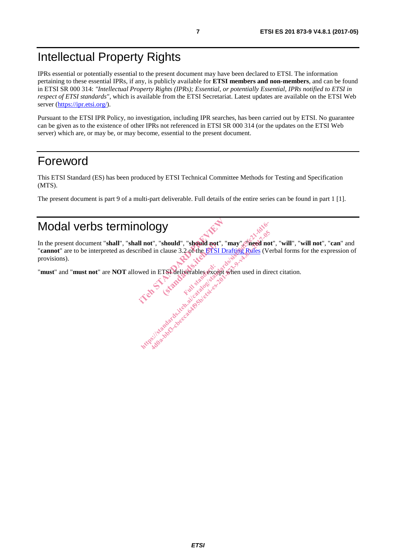# Intellectual Property Rights

IPRs essential or potentially essential to the present document may have been declared to ETSI. The information pertaining to these essential IPRs, if any, is publicly available for **ETSI members and non-members**, and can be found in ETSI SR 000 314: *"Intellectual Property Rights (IPRs); Essential, or potentially Essential, IPRs notified to ETSI in respect of ETSI standards"*, which is available from the ETSI Secretariat. Latest updates are available on the ETSI Web server (https://ipr.etsi.org/).

Pursuant to the ETSI IPR Policy, no investigation, including IPR searches, has been carried out by ETSI. No guarantee can be given as to the existence of other IPRs not referenced in ETSI SR 000 314 (or the updates on the ETSI Web server) which are, or may be, or may become, essential to the present document.

## Foreword

This ETSI Standard (ES) has been produced by ETSI Technical Committee Methods for Testing and Specification (MTS).

The present document is part 9 of a multi-part deliverable. Full details of the entire series can be found in part 1 [1].

# Modal verbs terminology

In the present document "**shall**", "**shall not**", "**should**", "**should not**", "**may**", "**need not**", "**will**", "**will not**", "**can**" and "**cannot**" are to be interpreted as described in clause 3.2 of the ETSI Drafting Rules (Verbal forms for the expression of provisions). Il not", "should", "should not", "may<br>ribed in clause 3.2 of the ETSI Drafting<br>wed in ETSI deliverables except when should", "should not"<br>clause 3.2 of the ETSI DIOGY<br>
I not", "should", "should not", "may", "heed not<br>
ibed in clause 3.2 of the ETSI Drafting Rules (Ver<br>
wed in ETSI deliverables except when used in dire<br>
wed in ETSI deliverables except when used in dire<br>
the standar 4do a-bbs 3.2 of the BTSI Drafting Rules (Ve in clause 3.2 of the BTSI Drafting Rules (Ve in clause 3.2 of the BTSI Drafting Rules (Ve in the State of the BTSI Drafting Rules (Ve in the State of the BTSI Drafting Rules (Ve

"**must**" and "**must not**" are **NOT** allowed in ETSI deliverables except when used in direct citation. Full state of condition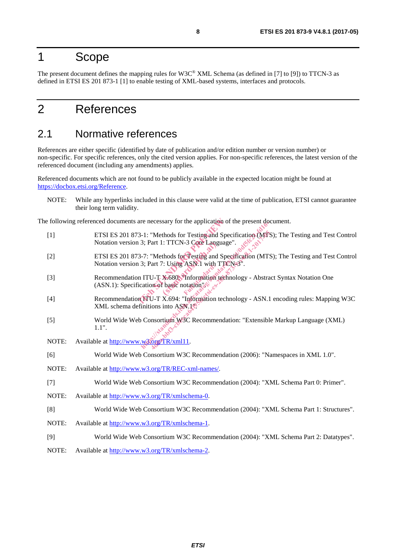### 1 Scope

The present document defines the mapping rules for W3C® XML Schema (as defined in [7] to [9]) to TTCN-3 as defined in ETSI ES 201 873-1 [1] to enable testing of XML-based systems, interfaces and protocols.

# 2 References

#### 2.1 Normative references

References are either specific (identified by date of publication and/or edition number or version number) or non-specific. For specific references, only the cited version applies. For non-specific references, the latest version of the referenced document (including any amendments) applies.

Referenced documents which are not found to be publicly available in the expected location might be found at https://docbox.etsi.org/Reference.

NOTE: While any hyperlinks included in this clause were valid at the time of publication, ETSI cannot guarantee their long term validity.

The following referenced documents are necessary for the application of the present document.

- [1] ETSI ES 201 873-1: "Methods for Testing and Specification (MTS); The Testing and Test Control Notation version 3; Part 1: TTCN-3 Core Language".
- [2] ETSI ES 201 873-7: "Methods for Testing and Specification (MTS); The Testing and Test Control Notation version 3; Part 7: Using ASN.1 with TTCN-3".
- [3] Recommendation ITU-T X.680: "Information technology Abstract Syntax Notation One  $(ASN.1)$ : Specification of basic notation". are necessary for the application of the<br>3-1: "Methods for Testing and Specific<br>13; Part 1: TTCN-3 Core Language".<br>3-7: "Methods for Testing and Specific<br>3. Part 7: Using ASN. I with TTCN-3<br>n ITU-T X-680. "Information tech (e. Prick-3 Core Languard)<br>
Standards.iteh.ai)<br>
Standards.iteh.ai<br>
Standards.iteh.ai<br>
Standards.iteh.ai<br>
Standards.iteh.ai<br>
Standards.iteh.ai<br>
Standards.iteh.ai<br>
Standards.iteh.ai<br>
Standards.iteh.ai<br>
Standards.iteh.ai<br>
Sta Full with the http://web.com/monthlandards.ite/standards.iteh.ai/catalog 1-1: "Methods for Testing and Specification (MTS)<br>3; Part 1: TTCN-3 Core Language".<br>-7: "Methods for Testing and Specification (MTS)<br>3; Part 7: Using ASN.1 with TT Wethods for Testing and Specification (MTS<br>
Part 1: TTCN-3 Core Language".<br>
"Methods for Testing and Specification (MTS<br>
"art 7: Using ASN.1 with TTCN-3".<br>
U-T X-680. Information technology - Abstration of basic notation (
- [4] Recommendation ITU-T X.694: "Information technology ASN.1 encoding rules: Mapping W3C XML schema definitions into ASN.1<sup>®</sup>.
- [5] World Wide Web Consortium W3C Recommendation: "Extensible Markup Language (XML) 1.1".
- NOTE: Available at http://www.w3.org/TR/xml11.
- [6] World Wide Web Consortium W3C Recommendation (2006): "Namespaces in XML 1.0".
- NOTE: Available at http://www.w3.org/TR/REC-xml-names/.
- [7] World Wide Web Consortium W3C Recommendation (2004): "XML Schema Part 0: Primer".
- NOTE: Available at http://www.w3.org/TR/xmlschema-0.
- [8] World Wide Web Consortium W3C Recommendation (2004): "XML Schema Part 1: Structures".
- NOTE: Available at http://www.w3.org/TR/xmlschema-1.
- [9] World Wide Web Consortium W3C Recommendation (2004): "XML Schema Part 2: Datatypes".
- NOTE: Available at http://www.w3.org/TR/xmlschema-2.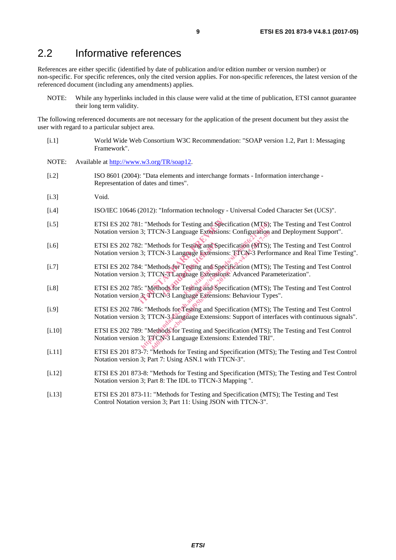### 2.2 Informative references

References are either specific (identified by date of publication and/or edition number or version number) or non-specific. For specific references, only the cited version applies. For non-specific references, the latest version of the referenced document (including any amendments) applies.

NOTE: While any hyperlinks included in this clause were valid at the time of publication, ETSI cannot guarantee their long term validity.

The following referenced documents are not necessary for the application of the present document but they assist the user with regard to a particular subject area.

- [i.1] World Wide Web Consortium W3C Recommendation: "SOAP version 1.2, Part 1: Messaging Framework".
- NOTE: Available at http://www.w3.org/TR/soap12.
- [i.2] ISO 8601 (2004): "Data elements and interchange formats Information interchange Representation of dates and times".
- [i.3] Void.
- [i.4] ISO/IEC 10646 (2012): "Information technology Universal Coded Character Set (UCS)".
- [i.5] ETSI ES 202 781: "Methods for Testing and Specification (MTS); The Testing and Test Control Notation version 3; TTCN-3 Language Extensions: Configuration and Deployment Support". 1: "Methods for Testing and Specifica<br>
13: TTCN-3 Language Extensions: Co<br>
2: "Methods for Testing and Specifica<br>
13: TTCN-3 Language Extensions: TT<br>
4: "Methods for Testing and Specifica<br>
13: TTCN-3 Language Extensions: A
- [i.6] ETSI ES 202 782: "Methods for Testing and Specification (MTS); The Testing and Test Control Notation version 3; TTCN-3 Language Extensions: TTCN-3 Performance and Real Time Testing". ods for Testing and Sp<br>
N-3 Language Extension<br>
ods for Testing and Sp<br>
N-3 Language Extension<br>
ods for Testing and Sp<br>
N-3 Language Extension
- [i.7] ETSI ES 202 784: "Methods for Testing and Specification (MTS); The Testing and Test Control Notation version 3; TTCN-3 Language Extensions: Advanced Parameterization". [i.7] ETSI ES 202 784: "Methods for Testing and Specification (MTS); The Testing and Test Control<br>
Notation version 3; TTCN-3 Language Extensions: Advanced Parameterization".<br>
FISI ES 202 785: "Methods for Testing and Spec
- Notation version 3; TTCN-3 Language Extensions: Behaviour Types". THE PROVENTIES:<br>
THE PROVENTIES:<br>
THE PROVENTIES:<br>
THE PROVENTIES:<br>
THE PROVENTIES:<br>
THE PROVENTIES:<br>
THE PROVENTIES:<br>
THE PROVENTIES:<br>
THE PROVENTIES:<br>
THE PROVENTIES:<br>
THE PROVENTIES:<br>
THE PROVENTIES:<br>
THE PROVENTIES:<br>
T TCN-3 Language Extensions: Configuration<br>
Methods for Testing and Specification (MTS):<br>
TCN-3 Language Extensions: TTCN-3 Performation<br>
Methods for Testing and Specification (MTS):<br>
TCN-3 Language Extensions: Advanced Par<br>
- [i.9] ETSI ES 202 786: "Methods for Testing and Specification (MTS); The Testing and Test Control Notation version 3; TTCN-3 Language Extensions: Support of interfaces with continuous signals".
- [i.10] ETSI ES 202 789: "Methods for Testing and Specification (MTS); The Testing and Test Control Notation version 3; TTCN-3 Language Extensions: Extended TRI".
- [i.11] ETSI ES 201 873-7: "Methods for Testing and Specification (MTS); The Testing and Test Control Notation version 3; Part 7: Using ASN.1 with TTCN-3".
- [i.12] ETSI ES 201 873-8: "Methods for Testing and Specification (MTS); The Testing and Test Control Notation version 3; Part 8: The IDL to TTCN-3 Mapping ".
- [i.13] ETSI ES 201 873-11: "Methods for Testing and Specification (MTS); The Testing and Test Control Notation version 3; Part 11: Using JSON with TTCN-3".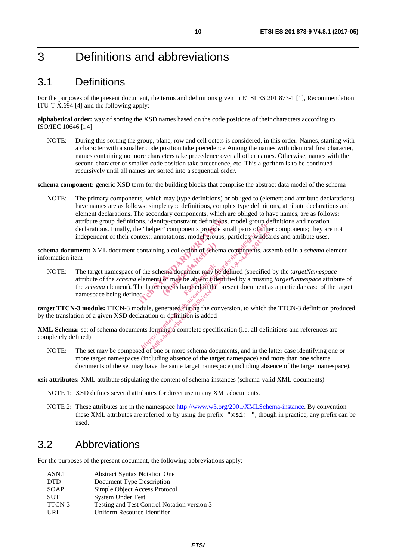# 3 Definitions and abbreviations

### 3.1 Definitions

For the purposes of the present document, the terms and definitions given in ETSI ES 201 873-1 [1], Recommendation ITU-T X.694 [4] and the following apply:

**alphabetical order:** way of sorting the XSD names based on the code positions of their characters according to ISO/IEC 10646 [i.4]

NOTE: During this sorting the group, plane, row and cell octets is considered, in this order. Names, starting with a character with a smaller code position take precedence Among the names with identical first character, names containing no more characters take precedence over all other names. Otherwise, names with the second character of smaller code position take precedence, etc. This algorithm is to be continued recursively until all names are sorted into a sequential order.

**schema component:** generic XSD term for the building blocks that comprise the abstract data model of the schema

NOTE: The primary components, which may (type definitions) or obliged to (element and attribute declarations) have names are as follows: simple type definitions, complex type definitions, attribute declarations and element declarations. The secondary components, which are obliged to have names, are as follows: attribute group definitions, identity-constraint definitions, model group definitions and notation declarations. Finally, the "helper" components provide small parts of other components; they are not independent of their context: annotations, model groups, particles, wildcards and attribute uses.

**schema document:** XML document containing a collection of schema components, assembled in a *schema* element information item

NOTE: The target namespace of the schema document may be defined (specified by the *targetNamespace* attribute of the *schema* element) or may be absent (identified by a missing *targetNamespace* attribute of the *schema* element). The latter case is handled in the present document as a particular case of the target namespace being defined. ins, identity-constraint definitions, model with the "helper" components provide small provide small provide small provide small containing a collection of schema component containing a collection of schema component for t g a collection of sehen<br>
ema document may be<br>
or may be absent (ide)<br>
case is handled in the p  $\frac{1}{2}$ <br>  $\frac{1}{2}$   $\frac{1}{2}$   $\frac{1}{2}$   $\frac{1}{2}$   $\frac{1}{2}$   $\frac{1}{2}$   $\frac{1}{2}$   $\frac{1}{2}$   $\frac{1}{2}$   $\frac{1}{2}$   $\frac{1}{2}$   $\frac{1}{2}$   $\frac{1}{2}$   $\frac{1}{2}$   $\frac{1}{2}$   $\frac{1}{2}$   $\frac{1}{2}$   $\frac{1}{2}$   $\frac{1}{2}$   $\frac{1}{2}$   $\frac{1}{2}$  4.45 components provide small pairs of selection<br>
ining a collection of sehema components, associated<br>
ining a collection of sehema components, associated<br>
schema document may be defined (specified<br>
ent) or may be absent (

**target TTCN-3 module:** TTCN-3 module, generated during the conversion, to which the TTCN-3 definition produced by the translation of a given XSD declaration or definition is added

**XML Schema:** set of schema documents forming a complete specification (i.e. all definitions and references are completely defined)

NOTE: The set may be composed of one or more schema documents, and in the latter case identifying one or more target namespaces (including absence of the target namespace) and more than one schema documents of the set may have the same target namespace (including absence of the target namespace).

**xsi: attributes:** XML attribute stipulating the content of schema-instances (schema-valid XML documents)

- NOTE 1: XSD defines several attributes for direct use in any XML documents.
- NOTE 2: These attributes are in the namespace http://www.w3.org/2001/XMLSchema-instance. By convention these XML attributes are referred to by using the prefix "xsi: ", though in practice, any prefix can be used.

#### 3.2 Abbreviations

For the purposes of the present document, the following abbreviations apply:

| ASN.1      | <b>Abstract Syntax Notation One</b>         |
|------------|---------------------------------------------|
| <b>DTD</b> | Document Type Description                   |
| SOAP       | Simple Object Access Protocol               |
| <b>SUT</b> | <b>System Under Test</b>                    |
| TTCN-3     | Testing and Test Control Notation version 3 |
| URI        | Uniform Resource Identifier                 |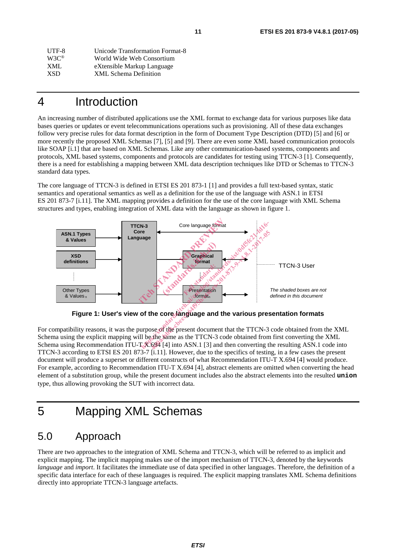| UTF-8             | Unicode Transformation Format-8 |
|-------------------|---------------------------------|
| $W3C^{\circledR}$ | World Wide Web Consortium       |
| XML               | eXtensible Markup Language      |
| <b>XSD</b>        | <b>XML</b> Schema Definition    |
|                   |                                 |

# 4 Introduction

An increasing number of distributed applications use the XML format to exchange data for various purposes like data bases queries or updates or event telecommunications operations such as provisioning. All of these data exchanges follow very precise rules for data format description in the form of Document Type Description (DTD) [5] and [6] or more recently the proposed XML Schemas [7], [5] and [9]. There are even some XML based communication protocols like SOAP [i.1] that are based on XML Schemas. Like any other communication-based systems, components and protocols, XML based systems, components and protocols are candidates for testing using TTCN-3 [1]. Consequently, there is a need for establishing a mapping between XML data description techniques like DTD or Schemas to TTCN-3 standard data types.

The core language of TTCN-3 is defined in ETSI ES 201 873-1 [1] and provides a full text-based syntax, static semantics and operational semantics as well as a definition for the use of the language with ASN.1 in ETSI ES 201 873-7 [i.11]. The XML mapping provides a definition for the use of the core language with XML Schema structures and types, enabling integration of XML data with the language as shown in figure 1.



**Figure 1: User's view of the core language and the various presentation formats** 

For compatibility reasons, it was the purpose of the present document that the TTCN-3 code obtained from the XML Schema using the explicit mapping will be the same as the TTCN-3 code obtained from first converting the XML Schema using Recommendation ITU-T X.694 [4] into ASN.1 [3] and then converting the resulting ASN.1 code into TTCN-3 according to ETSI ES 201 873-7 [i.11]. However, due to the specifics of testing, in a few cases the present document will produce a superset or different constructs of what Recommendation ITU-T X.694 [4] would produce. For example, according to Recommendation ITU-T X.694 [4], abstract elements are omitted when converting the head element of a substitution group, while the present document includes also the abstract elements into the resulted **union** type, thus allowing provoking the SUT with incorrect data.

# 5 Mapping XML Schemas

## 5.0 Approach

There are two approaches to the integration of XML Schema and TTCN-3, which will be referred to as implicit and explicit mapping. The implicit mapping makes use of the import mechanism of TTCN-3, denoted by the keywords *language* and *import*. It facilitates the immediate use of data specified in other languages. Therefore, the definition of a specific data interface for each of these languages is required. The explicit mapping translates XML Schema definitions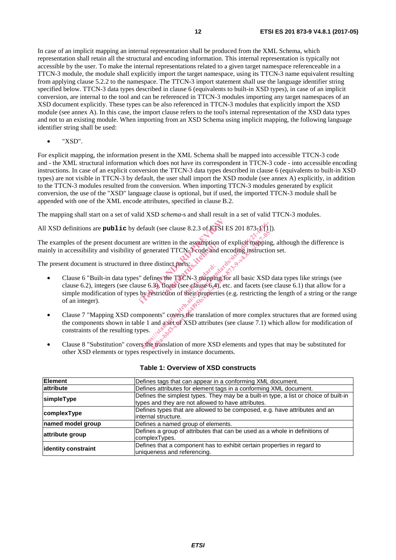In case of an implicit mapping an internal representation shall be produced from the XML Schema, which representation shall retain all the structural and encoding information. This internal representation is typically not accessible by the user. To make the internal representations related to a given target namespace referenceable in a TTCN-3 module, the module shall explicitly import the target namespace, using its TTCN-3 name equivalent resulting from applying clause 5.2.2 to the namespace. The TTCN-3 import statement shall use the language identifier string specified below. TTCN-3 data types described in clause 6 (equivalents to built-in XSD types), in case of an implicit conversion, are internal to the tool and can be referenced in TTCN-3 modules importing any target namespaces of an XSD document explicitly. These types can be also referenced in TTCN-3 modules that explicitly import the XSD module (see annex A). In this case, the import clause refers to the tool's internal representation of the XSD data types and not to an existing module. When importing from an XSD Schema using implicit mapping, the following language identifier string shall be used:

• "XSD".

For explicit mapping, the information present in the XML Schema shall be mapped into accessible TTCN-3 code and - the XML structural information which does not have its correspondent in TTCN-3 code - into accessible encoding instructions. In case of an explicit conversion the TTCN-3 data types described in clause 6 (equivalents to built-in XSD types) are not visible in TTCN-3 by default, the user shall import the XSD module (see annex A) explicitly, in addition to the TTCN-3 modules resulted from the conversion. When importing TTCN-3 modules generated by explicit conversion, the use of the "XSD" language clause is optional, but if used, the imported TTCN-3 module shall be appended with one of the XML encode attributes, specified in clause B.2.

The mapping shall start on a set of valid XSD *schema*-s and shall result in a set of valid TTCN-3 modules.

All XSD definitions are **public** by default (see clause 8.2.3 of ETSI ES 201 873-1 [1]).

The examples of the present document are written in the assumption of explicit mapping, although the difference is mainly in accessibility and visibility of generated TTCN-3 code and encoding instruction set.

The present document is structured in three distinct parts:

- Clause 6 "Built-in data types" defines the TTCN-3 mapping for all basic XSD data types like strings (see clause 6.2), integers (see clause 6.3), floats (see clause 6.4), etc. and facets (see clause 6.1) that allow for a simple modification of types by restriction of their properties (e.g. restricting the length of a string or the range of an integer). default (see clause 8.2.3 of ETSI ES 20<br>
it are written in the assumption of expl<br>
if generated TTCN-3 code and encodit<br>
three distinct parts:<br>
"<br>
defines the TTCN-3 mapping for all<br>
" defines the TTCN-3 mapping for all<br>
u (ten in the assumption<br>
ted TTCN-3 code and<br>
tinct parts:<br>
the TTCN-3 mapping<br>
floats (see clause 6.4),<br>
ction of their properties efault (see clause 8.2.3 of ETSI ES 201 873-1)<br>
are written in the assumption of explicit mapping<br>
igenerated TTCN 3 code and encoding instruction<br>
three distinct parts:<br>  $\frac{1}{2}$ <br>
defines the TTCN-3 mapping for all basi written in the assumption of explicit mapping<br>nerated TTCN-3-code and encoding instruction<br>e distinct parts:<br>example is a reaction of the TTCN-3 mapping for all basic XSD<br>fines the TTCN-3 mapping for all basic XSD<br>sestrict
- Clause 7 "Mapping XSD components" covers the translation of more complex structures that are formed using the components shown in table 1 and a set of XSD attributes (see clause 7.1) which allow for modification of constraints of the resulting types.
- Clause 8 "Substitution" covers the translation of more XSD elements and types that may be substituted for other XSD elements or types respectively in instance documents.

| <b>Element</b>      | Defines tags that can appear in a conforming XML document.                            |
|---------------------|---------------------------------------------------------------------------------------|
| attribute           | Defines attributes for element tags in a conforming XML document.                     |
| simpleType          | Defines the simplest types. They may be a built-in type, a list or choice of built-in |
|                     | types and they are not allowed to have attributes.                                    |
|                     | Defines types that are allowed to be composed, e.g. have attributes and an            |
| complexType         | internal structure.                                                                   |
| named model group   | Defines a named group of elements.                                                    |
| attribute group     | Defines a group of attributes that can be used as a whole in definitions of           |
|                     | complexTypes.                                                                         |
| identity constraint | Defines that a component has to exhibit certain properties in regard to               |
|                     | uniqueness and referencing.                                                           |

#### **Table 1: Overview of XSD constructs**